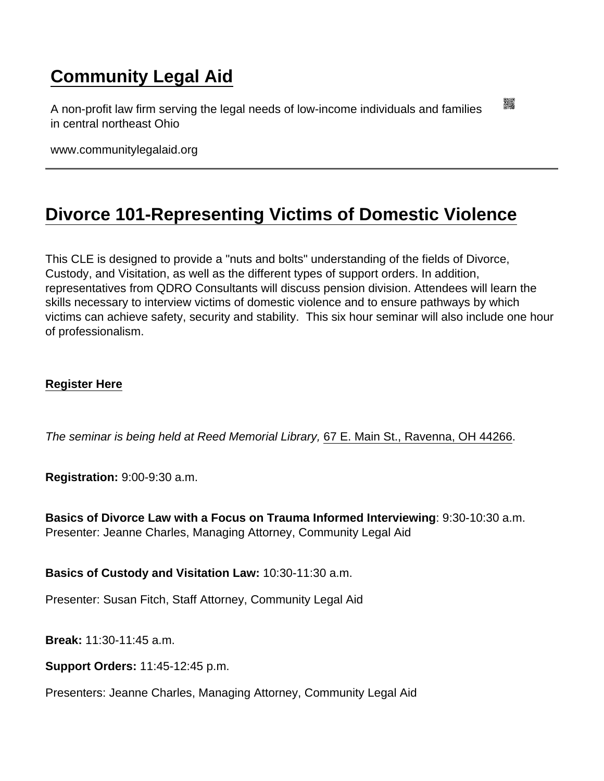## [Community Legal Aid](https://www.communitylegalaid.org/)

A non-profit law firm serving the legal needs of low-income individuals and families in central northeast Ohio

www.communitylegalaid.org

## [Divorce 101-Representing Victims of Domestic Violence](https://www.communitylegalaid.org/node/708/divorce-101-representing-victims-domestic-violence)

This CLE is designed to provide a "nuts and bolts" understanding of the fields of Divorce, Custody, and Visitation, as well as the different types of support orders. In addition, representatives from QDRO Consultants will discuss pension division. Attendees will learn the skills necessary to interview victims of domestic violence and to ensure pathways by which victims can achieve safety, security and stability. This six hour seminar will also include one hour of professionalism.

## [Register Here](https://communitylegalaid.wildapricot.org/event-2861388)

The seminar is being held at Reed Memorial Library, [67 E. Main St., Ravenna, OH 44266.](https://maps.google.com/?q=67+E.+Main+St.,+Ravenna,+OH+44266&entry=gmail&source=g)

Registration: 9:00-9:30 a.m.

Basics of Divorce Law with a Focus on Trauma Informed Interviewing : 9:30-10:30 a.m. Presenter: Jeanne Charles, Managing Attorney, Community Legal Aid

Basics of Custody and Visitation Law: 10:30-11:30 a.m.

Presenter: Susan Fitch, Staff Attorney, Community Legal Aid

Break: 11:30-11:45 a.m.

Support Orders: 11:45-12:45 p.m.

Presenters: Jeanne Charles, Managing Attorney, Community Legal Aid